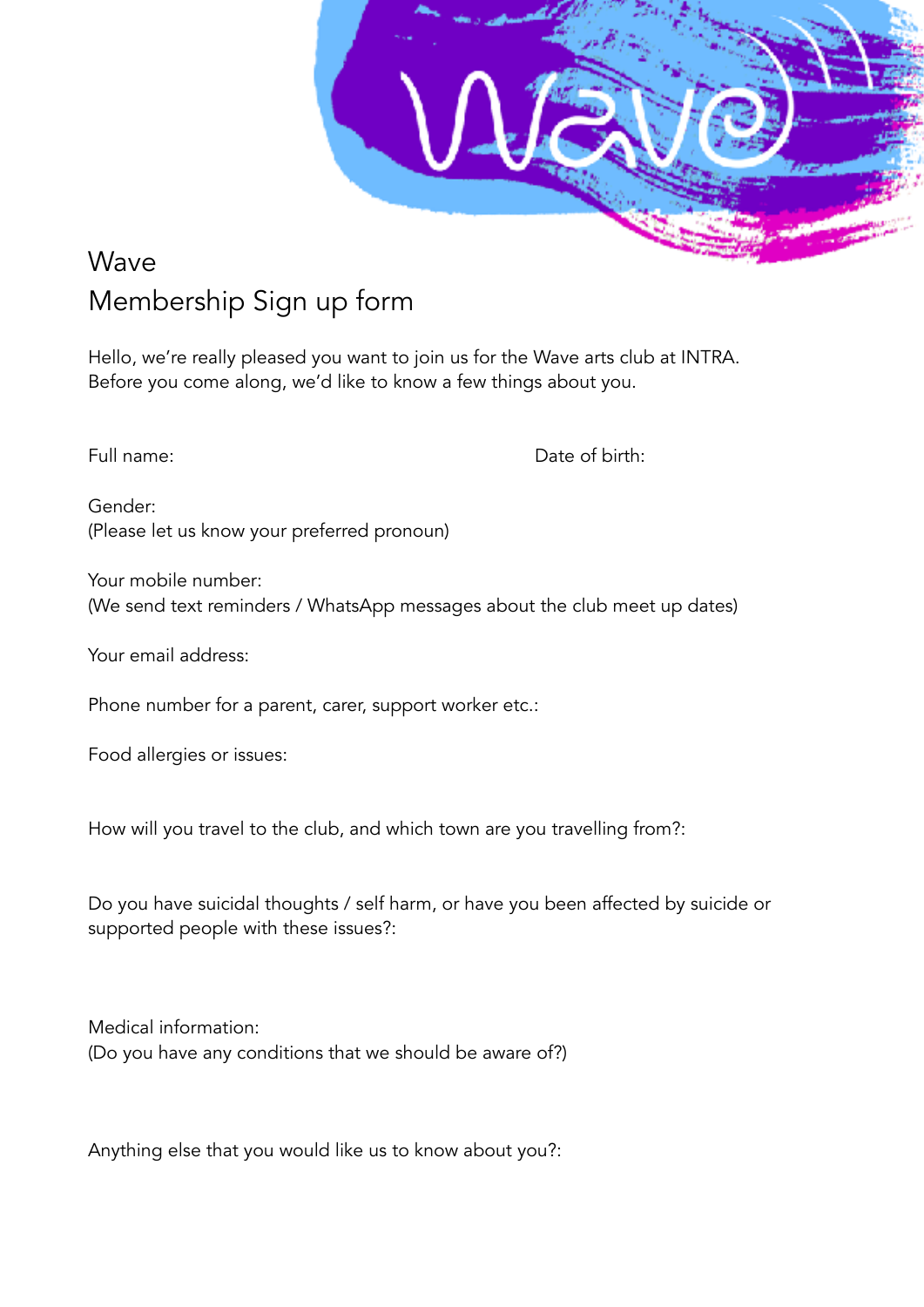

## Wave Membership Sign up form

Hello, we're really pleased you want to join us for the Wave arts club at INTRA. Before you come along, we'd like to know a few things about you.

Full name:  $\Box$  Date of birth:

Gender: (Please let us know your preferred pronoun)

Your mobile number: (We send text reminders / WhatsApp messages about the club meet up dates)

Your email address:

Phone number for a parent, carer, support worker etc.:

Food allergies or issues:

How will you travel to the club, and which town are you travelling from?:

Do you have suicidal thoughts / self harm, or have you been affected by suicide or supported people with these issues?:

Medical information: (Do you have any conditions that we should be aware of?)

Anything else that you would like us to know about you?: